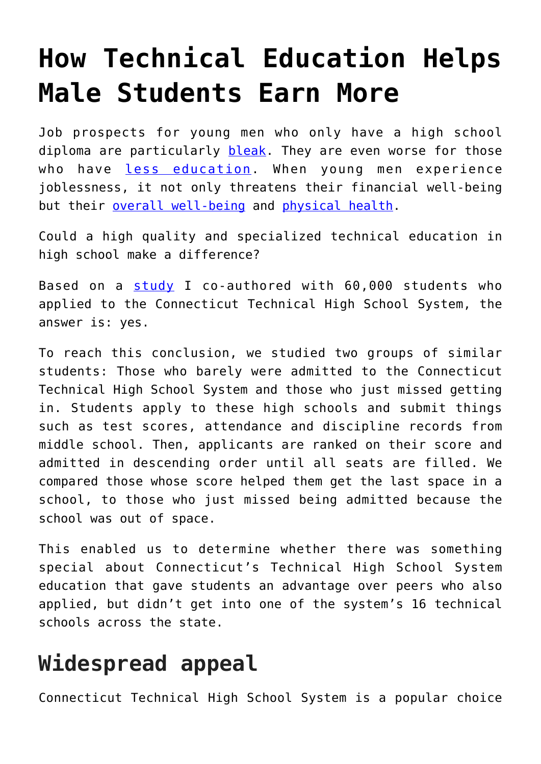# **[How Technical Education Helps](https://intellectualtakeout.org/2019/10/how-technical-education-helps-male-students-earn-more/) [Male Students Earn More](https://intellectualtakeout.org/2019/10/how-technical-education-helps-male-students-earn-more/)**

Job prospects for young men who only have a high school diploma are particularly [bleak.](https://www.bls.gov/emp/chart-unemployment-earnings-education.htm) They are even worse for those who have [less education.](https://www.bls.gov/opub/mlr/2018/beyond-bls/mens-declining-labor-force-participation.htm) When young men experience joblessness, it not only threatens their financial well-being but their [overall well-being](https://www.brookings.edu/blog/up-front/2019/02/12/why-are-out-of-work-men-so-unhappy-in-the-us/) and [physical health.](https://www.rwjf.org/en/library/research/2012/12/how-does-employment--or-unemployment--affect-health-.html)

Could a high quality and specialized technical education in high school make a difference?

Based on a [study](http://www.edworkingpapers.com/ai19-112) I co-authored with 60,000 students who applied to the Connecticut Technical High School System, the answer is: yes.

To reach this conclusion, we studied two groups of similar students: Those who barely were admitted to the Connecticut Technical High School System and those who just missed getting in. Students apply to these high schools and submit things such as test scores, attendance and discipline records from middle school. Then, applicants are ranked on their score and admitted in descending order until all seats are filled. We compared those whose score helped them get the last space in a school, to those who just missed being admitted because the school was out of space.

This enabled us to determine whether there was something special about Connecticut's Technical High School System education that gave students an advantage over peers who also applied, but didn't get into one of the system's 16 technical schools across the state.

### **Widespread appeal**

Connecticut Technical High School System is a popular choice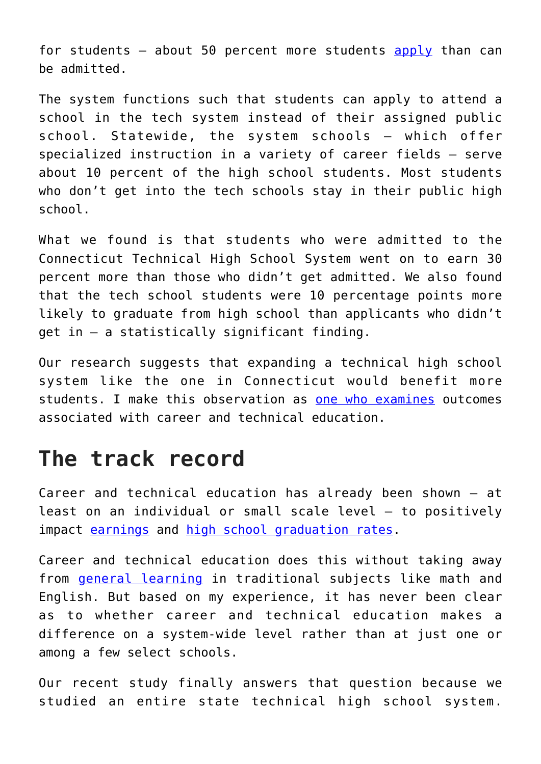for students  $-$  about 50 percent more students [apply](http://www.cttech.org/admissions.html) than can be admitted.

The system functions such that students can apply to attend a school in the tech system instead of their assigned public school. Statewide, the system schools – which offer specialized instruction in a variety of career fields – serve about 10 percent of the high school students. Most students who don't get into the tech schools stay in their public high school.

What we found is that students who were admitted to the Connecticut Technical High School System went on to earn 30 percent more than those who didn't get admitted. We also found that the tech school students were 10 percentage points more likely to graduate from high school than applicants who didn't get in – a statistically significant finding.

Our research suggests that expanding a technical high school system like the one in Connecticut would benefit more students. I make this observation as [one who examines](https://peabody.vanderbilt.edu/bio/shaun-dougherty) outcomes associated with career and technical education.

#### **The track record**

Career and technical education has already been shown – at least on an individual or small scale level – to positively impact [earnings](https://www.mdrc.org/publication/career-academies-long-term-impacts-work-education-and-transitions-adulthood) and [high school graduation rates.](https://www.sciencedirect.com/science/article/pii/S0272775718300876)

Career and technical education does this without taking away from **[general learning](https://www.mitpressjournals.org/doi/10.1162/EDFP_a_00224)** in traditional subjects like math and English. But based on my experience, it has never been clear as to whether career and technical education makes a difference on a system-wide level rather than at just one or among a few select schools.

Our recent study finally answers that question because we studied an entire state technical high school system.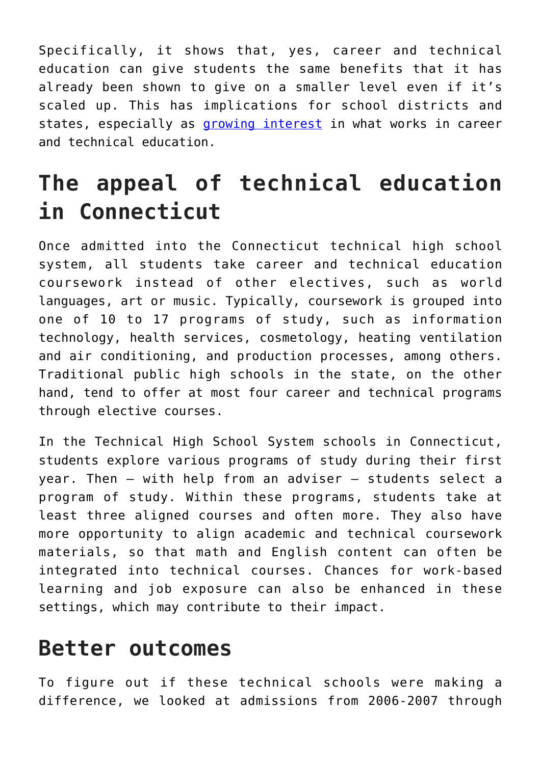Specifically, it shows that, yes, career and technical education can give students the same benefits that it has already been shown to give on a smaller level even if it's scaled up. This has implications for school districts and states, especially as [growing interest](https://thehill.com/opinion/education/429661-is-career-and-technical-education-more-than-another-fad) in what works in career and technical education.

## **The appeal of technical education in Connecticut**

Once admitted into the Connecticut technical high school system, all students take career and technical education coursework instead of other electives, such as world languages, art or music. Typically, coursework is grouped into one of 10 to 17 programs of study, such as information technology, health services, cosmetology, heating ventilation and air conditioning, and production processes, among others. Traditional public high schools in the state, on the other hand, tend to offer at most four career and technical programs through elective courses.

In the Technical High School System schools in Connecticut, students explore various programs of study during their first year. Then – with help from an adviser – students select a program of study. Within these programs, students take at least three aligned courses and often more. They also have more opportunity to align academic and technical coursework materials, so that math and English content can often be integrated into technical courses. Chances for work-based learning and job exposure can also be enhanced in these settings, which may contribute to their impact.

#### **Better outcomes**

To figure out if these technical schools were making a difference, we looked at admissions from 2006-2007 through